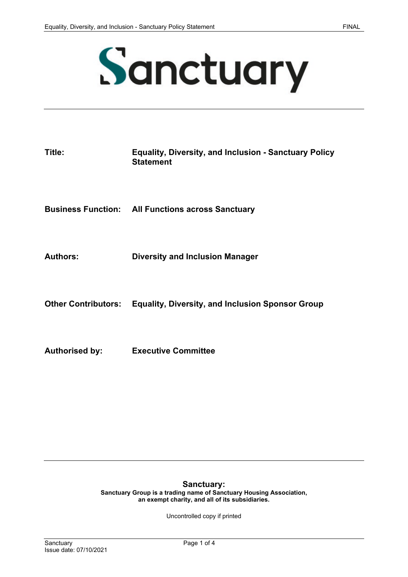

# Sanctuary

| Title:                | <b>Equality, Diversity, and Inclusion - Sanctuary Policy</b><br><b>Statement</b> |
|-----------------------|----------------------------------------------------------------------------------|
|                       | <b>Business Function: All Functions across Sanctuary</b>                         |
| <b>Authors:</b>       | <b>Diversity and Inclusion Manager</b>                                           |
|                       | Other Contributors: Equality, Diversity, and Inclusion Sponsor Group             |
| <b>Authorised by:</b> | <b>Executive Committee</b>                                                       |

#### **Sanctuary:**

**Sanctuary Group is a trading name of Sanctuary Housing Association, an exempt charity, and all of its subsidiaries.** 

Uncontrolled copy if printed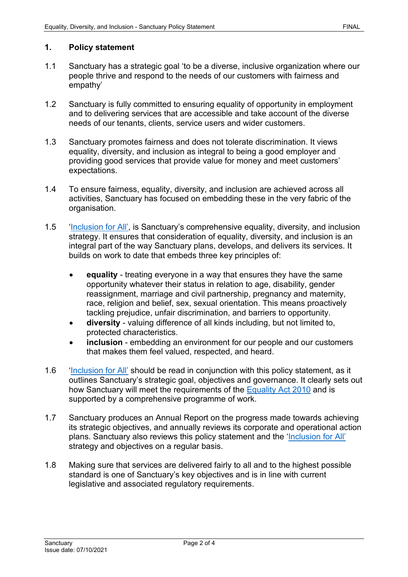### **1. Policy statement**

- 1.1 Sanctuary has a strategic goal 'to be a diverse, inclusive organization where our people thrive and respond to the needs of our customers with fairness and empathy'
- 1.2 Sanctuary is fully committed to ensuring equality of opportunity in employment and to delivering services that are accessible and take account of the diverse needs of our tenants, clients, service users and wider customers.
- 1.3 Sanctuary promotes fairness and does not tolerate discrimination. It views equality, diversity, and inclusion as integral to being a good employer and providing good services that provide value for money and meet customers' expectations.
- 1.4 To ensure fairness, equality, diversity, and inclusion are achieved across all activities, Sanctuary has focused on embedding these in the very fabric of the organisation.
- 1.5 ['Inclusion for All',](https://solis/Diversity/Documents/Inclusion%20for%20all%20-%20Equality,%20Diversity%20and%20Inclusion%20Strategy%202021-2024.pdf) is Sanctuary's comprehensive equality, diversity, and inclusion strategy. It ensures that consideration of equality, diversity, and inclusion is an integral part of the way Sanctuary plans, develops, and delivers its services. It builds on work to date that embeds three key principles of:
	- **equality** treating everyone in a way that ensures they have the same opportunity whatever their status in relation to age, disability, gender reassignment, marriage and civil partnership, pregnancy and maternity, race, religion and belief, sex, sexual orientation. This means proactively tackling prejudice, unfair discrimination, and barriers to opportunity.
	- **diversity**  valuing difference of all kinds including, but not limited to, protected characteristics.
	- **inclusion** embedding an environment for our people and our customers that makes them feel valued, respected, and heard.
- 1.6 ['Inclusion for All'](https://solis/Diversity/Documents/Inclusion%20for%20all%20-%20Equality,%20Diversity%20and%20Inclusion%20Strategy%202021-2024.pdf) should be read in conjunction with this policy statement, as it outlines Sanctuary's strategic goal, objectives and governance. It clearly sets out how Sanctuary will meet the requirements of the [Equality Act 2010](http://www.legislation.gov.uk/ukpga/2010/15/contents) and is supported by a comprehensive programme of work.
- 1.7 Sanctuary produces an Annual Report on the progress made towards achieving its strategic objectives, and annually reviews its corporate and operational action plans. Sanctuary also reviews this policy statement and the ['Inclusion for All'](https://solis/Diversity/Documents/Inclusion%20for%20all%20-%20Equality,%20Diversity%20and%20Inclusion%20Strategy%202021-2024.pdf) strategy and objectives on a regular basis.
- 1.8 Making sure that services are delivered fairly to all and to the highest possible standard is one of Sanctuary's key objectives and is in line with current legislative and associated regulatory requirements.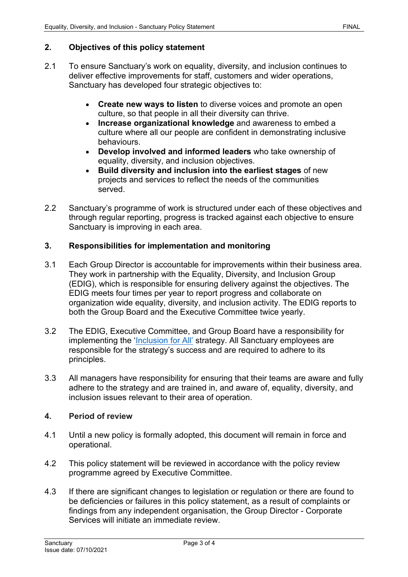# **2. Objectives of this policy statement**

- 2.1 To ensure Sanctuary's work on equality, diversity, and inclusion continues to deliver effective improvements for staff, customers and wider operations, Sanctuary has developed four strategic objectives to:
	- **Create new ways to listen** to diverse voices and promote an open culture, so that people in all their diversity can thrive.
	- **Increase organizational knowledge** and awareness to embed a culture where all our people are confident in demonstrating inclusive behaviours.
	- **Develop involved and informed leaders** who take ownership of equality, diversity, and inclusion objectives.
	- **Build diversity and inclusion into the earliest stages** of new projects and services to reflect the needs of the communities served.
- 2.2 Sanctuary's programme of work is structured under each of these objectives and through regular reporting, progress is tracked against each objective to ensure Sanctuary is improving in each area.

### **3. Responsibilities for implementation and monitoring**

- 3.1 Each Group Director is accountable for improvements within their business area. They work in partnership with the Equality, Diversity, and Inclusion Group (EDIG), which is responsible for ensuring delivery against the objectives. The EDIG meets four times per year to report progress and collaborate on organization wide equality, diversity, and inclusion activity. The EDIG reports to both the Group Board and the Executive Committee twice yearly.
- 3.2 The EDIG, Executive Committee, and Group Board have a responsibility for implementing the ['Inclusion for All'](https://solis/Diversity/Documents/Inclusion%20for%20all%20-%20Equality,%20Diversity%20and%20Inclusion%20Strategy%202021-2024.pdf) strategy. All Sanctuary employees are responsible for the strategy's success and are required to adhere to its principles.
- 3.3 All managers have responsibility for ensuring that their teams are aware and fully adhere to the strategy and are trained in, and aware of, equality, diversity, and inclusion issues relevant to their area of operation.

# **4. Period of review**

- 4.1 Until a new policy is formally adopted, this document will remain in force and operational.
- 4.2 This policy statement will be reviewed in accordance with the policy review programme agreed by Executive Committee.
- 4.3 If there are significant changes to legislation or regulation or there are found to be deficiencies or failures in this policy statement, as a result of complaints or findings from any independent organisation, the Group Director - Corporate Services will initiate an immediate review.